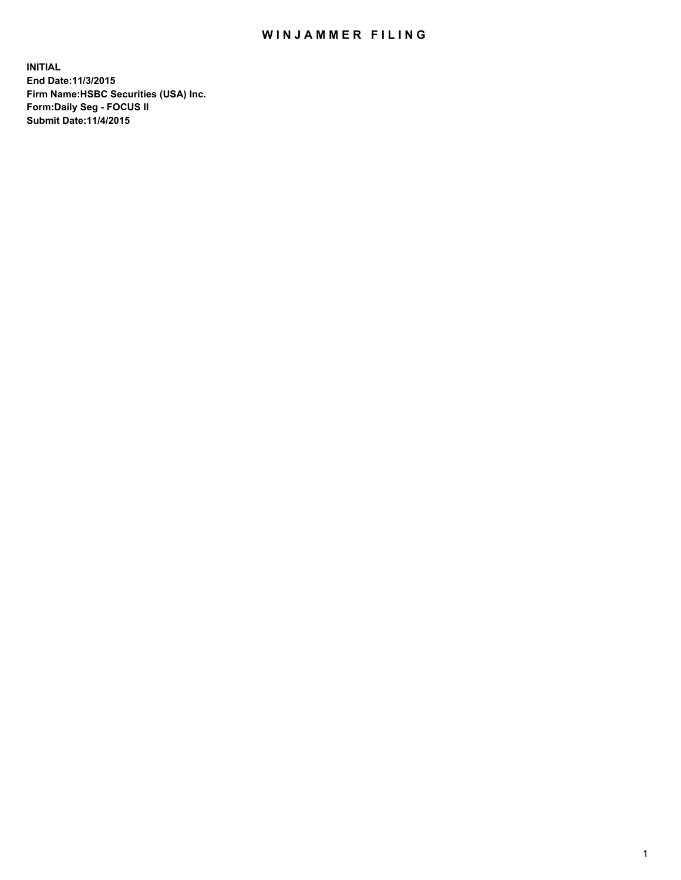## WIN JAMMER FILING

**INITIAL End Date:11/3/2015 Firm Name:HSBC Securities (USA) Inc. Form:Daily Seg - FOCUS II Submit Date:11/4/2015**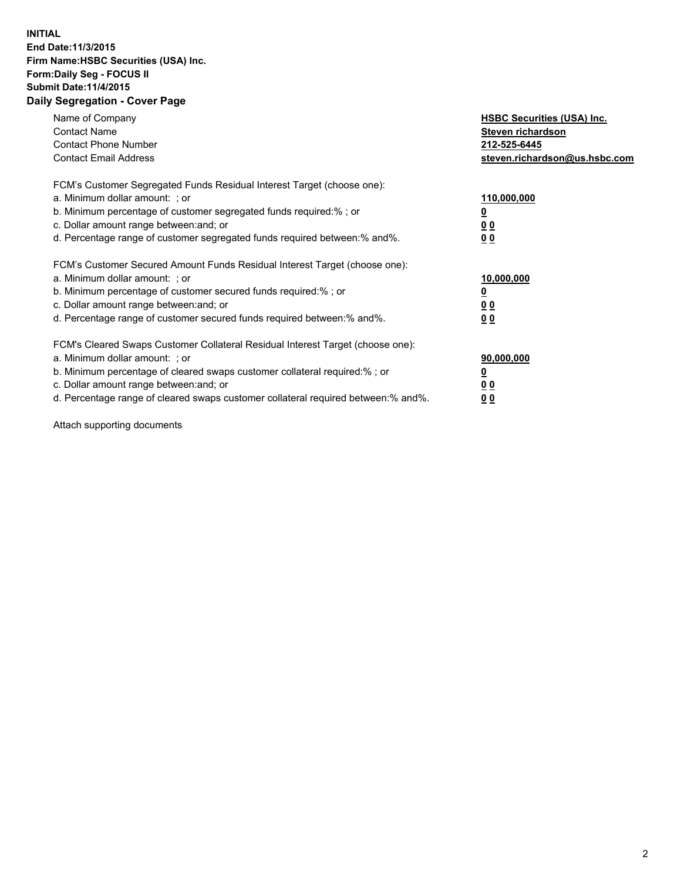## **INITIAL End Date:11/3/2015 Firm Name:HSBC Securities (USA) Inc. Form:Daily Seg - FOCUS II Submit Date:11/4/2015 Daily Segregation - Cover Page**

| Name of Company<br><b>Contact Name</b><br><b>Contact Phone Number</b><br><b>Contact Email Address</b>                                                                                                                                                                                                                         | <b>HSBC Securities (USA) Inc.</b><br>Steven richardson<br>212-525-6445<br>steven.richardson@us.hsbc.com |
|-------------------------------------------------------------------------------------------------------------------------------------------------------------------------------------------------------------------------------------------------------------------------------------------------------------------------------|---------------------------------------------------------------------------------------------------------|
| FCM's Customer Segregated Funds Residual Interest Target (choose one):<br>a. Minimum dollar amount: ; or<br>b. Minimum percentage of customer segregated funds required:%; or<br>c. Dollar amount range between: and; or<br>d. Percentage range of customer segregated funds required between: % and %.                       | 110,000,000<br><u>0</u><br>0 <sub>0</sub><br>0 <sub>0</sub>                                             |
| FCM's Customer Secured Amount Funds Residual Interest Target (choose one):<br>a. Minimum dollar amount: ; or<br>b. Minimum percentage of customer secured funds required:%; or<br>c. Dollar amount range between: and; or<br>d. Percentage range of customer secured funds required between: % and %.                         | 10,000,000<br>0 <sub>0</sub><br>0 <sub>0</sub>                                                          |
| FCM's Cleared Swaps Customer Collateral Residual Interest Target (choose one):<br>a. Minimum dollar amount: ; or<br>b. Minimum percentage of cleared swaps customer collateral required:%; or<br>c. Dollar amount range between: and; or<br>d. Percentage range of cleared swaps customer collateral required between:% and%. | 90,000,000<br><u>0</u><br>00<br><u>00</u>                                                               |

Attach supporting documents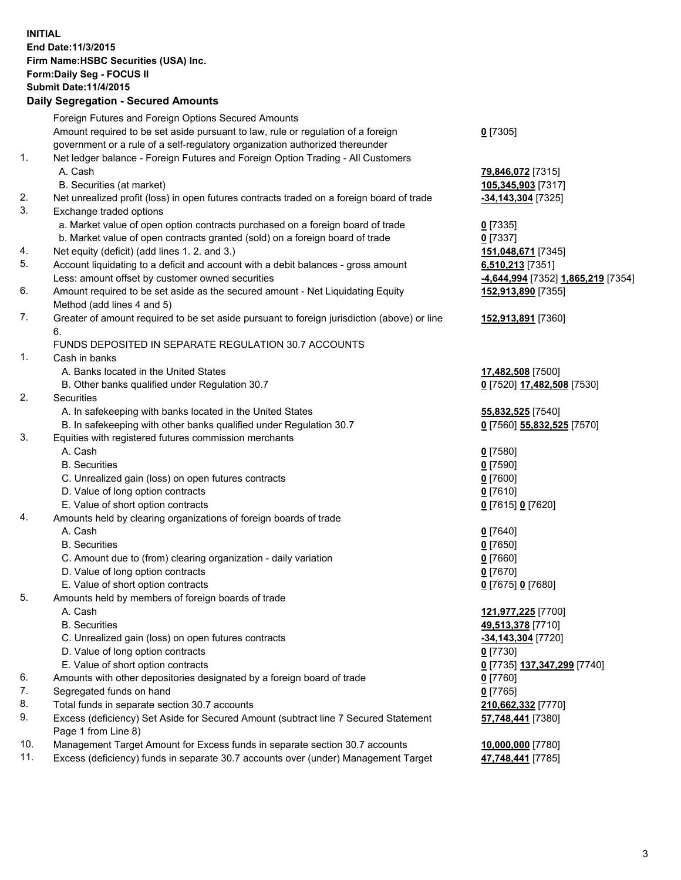**INITIAL End Date:11/3/2015 Firm Name:HSBC Securities (USA) Inc. Form:Daily Seg - FOCUS II Submit Date:11/4/2015 Daily Segregation - Secured Amounts**

Foreign Futures and Foreign Options Secured Amounts Amount required to be set aside pursuant to law, rule or regulation of a foreign government or a rule of a self-regulatory organization authorized thereunder **0** [7305] 1. Net ledger balance - Foreign Futures and Foreign Option Trading - All Customers A. Cash **79,846,072** [7315] B. Securities (at market) **105,345,903** [7317] 2. Net unrealized profit (loss) in open futures contracts traded on a foreign board of trade **-34,143,304** [7325] 3. Exchange traded options a. Market value of open option contracts purchased on a foreign board of trade **0** [7335] b. Market value of open contracts granted (sold) on a foreign board of trade **0** [7337] 4. Net equity (deficit) (add lines 1. 2. and 3.) **151,048,671** [7345] 5. Account liquidating to a deficit and account with a debit balances - gross amount **6,510,213** [7351] Less: amount offset by customer owned securities **-4,644,994** [7352] **1,865,219** [7354] 6. Amount required to be set aside as the secured amount - Net Liquidating Equity Method (add lines 4 and 5) **152,913,890** [7355] 7. Greater of amount required to be set aside pursuant to foreign jurisdiction (above) or line 6. **152,913,891** [7360] FUNDS DEPOSITED IN SEPARATE REGULATION 30.7 ACCOUNTS 1. Cash in banks A. Banks located in the United States **17,482,508** [7500] B. Other banks qualified under Regulation 30.7 **0** [7520] **17,482,508** [7530] 2. Securities A. In safekeeping with banks located in the United States **55,832,525** [7540] B. In safekeeping with other banks qualified under Regulation 30.7 **0** [7560] **55,832,525** [7570] 3. Equities with registered futures commission merchants A. Cash **0** [7580] B. Securities **0** [7590] C. Unrealized gain (loss) on open futures contracts **0** [7600] D. Value of long option contracts **0** [7610] E. Value of short option contracts **0** [7615] **0** [7620] 4. Amounts held by clearing organizations of foreign boards of trade A. Cash **0** [7640] B. Securities **0** [7650] C. Amount due to (from) clearing organization - daily variation **0** [7660] D. Value of long option contracts **0** [7670] E. Value of short option contracts **0** [7675] **0** [7680] 5. Amounts held by members of foreign boards of trade A. Cash **121,977,225** [7700] B. Securities **49,513,378** [7710] C. Unrealized gain (loss) on open futures contracts **-34,143,304** [7720] D. Value of long option contracts **0** [7730] E. Value of short option contracts **0** [7735] **137,347,299** [7740] 6. Amounts with other depositories designated by a foreign board of trade **0** [7760] 7. Segregated funds on hand **0** [7765] 8. Total funds in separate section 30.7 accounts **210,662,332** [7770] 9. Excess (deficiency) Set Aside for Secured Amount (subtract line 7 Secured Statement Page 1 from Line 8) **57,748,441** [7380] 10. Management Target Amount for Excess funds in separate section 30.7 accounts **10,000,000** [7780] 11. Excess (deficiency) funds in separate 30.7 accounts over (under) Management Target **47,748,441** [7785]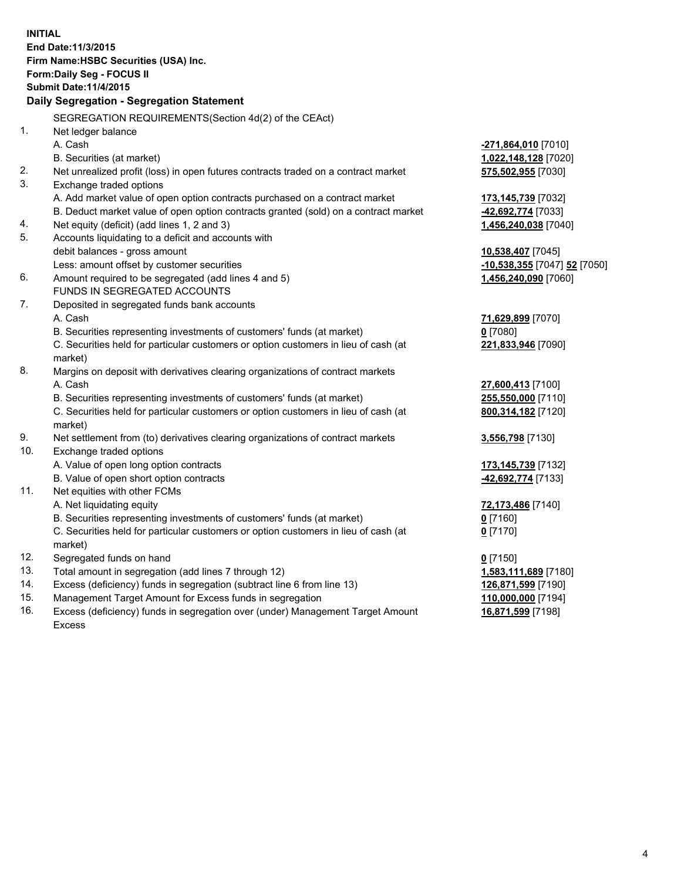| <b>INITIAL</b> | End Date: 11/3/2015<br>Firm Name: HSBC Securities (USA) Inc.<br>Form: Daily Seg - FOCUS II<br><b>Submit Date:11/4/2015</b><br>Daily Segregation - Segregation Statement |                              |
|----------------|-------------------------------------------------------------------------------------------------------------------------------------------------------------------------|------------------------------|
|                |                                                                                                                                                                         |                              |
|                | SEGREGATION REQUIREMENTS(Section 4d(2) of the CEAct)                                                                                                                    |                              |
| 1.             | Net ledger balance                                                                                                                                                      |                              |
|                | A. Cash                                                                                                                                                                 | -271,864,010 [7010]          |
|                | B. Securities (at market)                                                                                                                                               | 1,022,148,128 [7020]         |
| 2.<br>3.       | Net unrealized profit (loss) in open futures contracts traded on a contract market<br>Exchange traded options                                                           | 575,502,955 [7030]           |
|                | A. Add market value of open option contracts purchased on a contract market                                                                                             | 173,145,739 [7032]           |
|                | B. Deduct market value of open option contracts granted (sold) on a contract market                                                                                     | -42,692,774 [7033]           |
| 4.             | Net equity (deficit) (add lines 1, 2 and 3)                                                                                                                             | 1,456,240,038 [7040]         |
| 5.             | Accounts liquidating to a deficit and accounts with                                                                                                                     |                              |
|                | debit balances - gross amount                                                                                                                                           | 10,538,407 [7045]            |
|                | Less: amount offset by customer securities                                                                                                                              | -10,538,355 [7047] 52 [7050] |
| 6.             | Amount required to be segregated (add lines 4 and 5)                                                                                                                    | 1,456,240,090 [7060]         |
|                | FUNDS IN SEGREGATED ACCOUNTS                                                                                                                                            |                              |
| 7.             | Deposited in segregated funds bank accounts                                                                                                                             |                              |
|                | A. Cash                                                                                                                                                                 | 71,629,899 [7070]            |
|                | B. Securities representing investments of customers' funds (at market)                                                                                                  | $0$ [7080]                   |
|                | C. Securities held for particular customers or option customers in lieu of cash (at<br>market)                                                                          | 221,833,946 [7090]           |
| 8.             | Margins on deposit with derivatives clearing organizations of contract markets                                                                                          |                              |
|                | A. Cash                                                                                                                                                                 | 27,600,413 [7100]            |
|                | B. Securities representing investments of customers' funds (at market)                                                                                                  | 255,550,000 [7110]           |
|                | C. Securities held for particular customers or option customers in lieu of cash (at<br>market)                                                                          | 800,314,182 [7120]           |
| 9.             | Net settlement from (to) derivatives clearing organizations of contract markets                                                                                         | 3,556,798 [7130]             |
| 10.            | Exchange traded options                                                                                                                                                 |                              |
|                | A. Value of open long option contracts                                                                                                                                  | 173, 145, 739 [7132]         |
|                | B. Value of open short option contracts                                                                                                                                 | 42,692,774 [7133]            |
| 11.            | Net equities with other FCMs                                                                                                                                            |                              |
|                | A. Net liquidating equity                                                                                                                                               | 72,173,486 [7140]            |
|                | B. Securities representing investments of customers' funds (at market)                                                                                                  | $0$ [7160]                   |
|                | C. Securities held for particular customers or option customers in lieu of cash (at                                                                                     | $0$ [7170]                   |
|                | market)                                                                                                                                                                 |                              |
| 12.            | Segregated funds on hand                                                                                                                                                | $0$ [7150]                   |
| 13.            | Total amount in segregation (add lines 7 through 12)                                                                                                                    | 1,583,111,689 [7180]         |
| 14.            | Excess (deficiency) funds in segregation (subtract line 6 from line 13)                                                                                                 | 126,871,599 [7190]           |
| 15.            | Management Target Amount for Excess funds in segregation                                                                                                                | 110,000,000 [7194]           |
| 16.            | Excess (deficiency) funds in segregation over (under) Management Target Amount                                                                                          | 16,871,599 [7198]            |

16. Excess (deficiency) funds in segregation over (under) Management Target Amount Excess